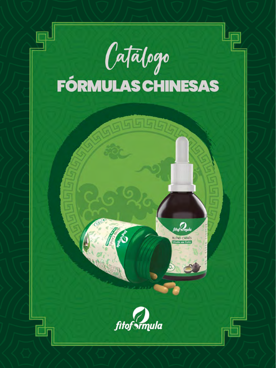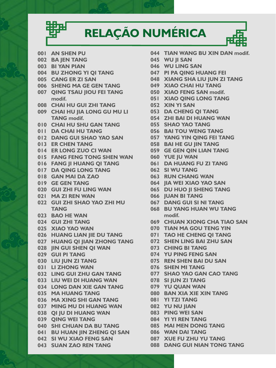## **RELAÇÃO NUMÉRICA**



- **001 AN SHEN PU**
- **002 BA JEN TANG**
- **003 BI YAN PIAN**
- **004 BU ZHONG YI QI TANG**
- **005 CANG ER ZI SAN**
- **006 SHENG MA GE GEN TANG**
- **007 QING TSAU JIOU FEI TANG modif.**
- **008 CHAI HU GUI ZHI TANG**
- **009 CHAI HU JIA LONG GU MU LI TANG modif.**
- **010 CHAI HU SHU GAN TANG**
- **011 DA CHAI HU TANG**
- **012 DANG GUI SHAO YAO SAN**
- **013 ER CHEN TANG**
- **014 ER LONG ZUO CI WAN**
- **015 FANG FENG TONG SHEN WAN**
- **016 FANG JI HUANG QI TANG**
- **017 DA QING LONG TANG**
- **018 GAN MAI DA ZAO**
- **019 GE GEN TANG**
- **020 GUI ZHI FU LING WAN**
- **021 MA ZI REN WAN**
- **022 GUI ZHI SHAO YAO ZHI MU TANG**
- **023 BAO HE WAN**
- **024 GUI ZHI TANG**
- **025 XIAO YAO WAN**
- **026 HUANG LIAN JIE DU TANG**
- **027 HUANG QI JIAN ZHONG TANG**
- **028 JIN GUI SHEN QI WAN**
- **029 GUI PI TANG**
- **030 LIU JUN ZI TANG**
- **031 LI ZHONG WAN**
- **032 LING GUI ZHU GAN TANG**
- **033 LIU WEI DI HUANG WAN**
- **034 LONG DAN XIE GAN TANG**
- **035 MA HUANG TANG**
- **036 MA XING SHI GAN TANG**
- **037 MING MU DI HUANG WAN**
- **038 QI JU DI HUANG WAN**
- **039 QING WEI TANG**
- **040 SHI CHUAN DA BU TANG**
- **041 BU HUAN JIN ZHENG QI SAN**
- **042 SI WU XIAO FENG SAN**
- **043 SUAN ZAO REN TANG**
- **044 TIAN WANG BU XIN DAN modif.**
- **045 WU JI SAN**
- **046 WU LING SAN**
- **047 PI PA QING HUANG FEI**
- **048 XIANG SHA LIU JUN ZI TANG**
- **049 XIAO CHAI HU TANG**
- **050 XIAO FENG SAN modif.**
- **051 XIAO QING LONG TANG**
- **052 XIN YI SAN**
- **053 DA CHENG QI TANG**
- **054 ZHI BAI DI HUANG WAN**
- **055 SHAO YAO TANG**
- **056 BAI TOU WENG TANG**
- **057 YANG YIN QING FEI TANG**
	- **058 BAI HE GU JIN TANG**
	- **059 GE GEN QIN LIAN TANG**
- **060 YUE JU WAN**
- **061 DA HUANG FU ZI TANG**
	- **062 SI WU TANG**
	- **063 RUN CHANG WAN**
- **064 JIA WEI XIAO YAO SAN**
- **065 DU HUO JI SHENG TANG**
- **066 JUAN BI TANG**
- **067 DANG GUI SI NI TANG**
- **068 BU YANG HUAN WU TANG modif.**
- **069 CHUAN XIONG CHA TIAO SAN**
- **070 TIAN MA GOU TENG YIN**
- **071 TAO HE CHENG QI TANG**
- **072 SHEN LING BAI ZHU SAN**
- **073 CHING BI TANG**
- **074 YU PING FENG SAN**
- **075 REN SHEN BAI DU SAN**
- **076 SHEN MI TANG**
- **077 SHAO YAO GAN CAO TANG**
- **078 SI JUN ZI TANG**
- **079 YU QUAN WAN**
	- **080 BAN XIA XIE XIN TANG**
- **081 YI TZI TANG**
- **082 YU NU JIAN**
- **083 PING WEI SAN**
- **084 YI YI REN TANG**
- **085 MAI MEN DONG TANG**
- **086 WAN DAI TANG**
- **087 XUE FU ZHU YU TANG**
- **088 DANG GUI NIAN TONG TANG**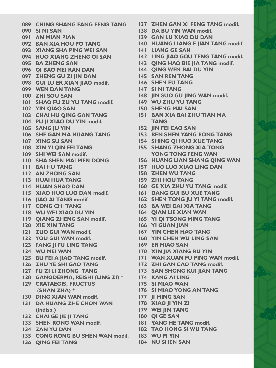- **137 ZHEN GAN XI FENG TANG modif. 138 DA BU YIN WAN modif. 139 GAN LU XIAO DU DAN 140 HUANG LIANG E JIAN TANG modif. 141 LIANG GE SAN 142 LING IIAO GOU TENG TANG modif. 143 QING HAO BIE JIA TANG modif. 144 QING WEN BAI DU YIN 145 SAN REN TANG 146 SHEN FU TANG 147 SI NI TANG 148 JIN SUO GU JING WAN modif. 149 WU ZHU YU TANG 150 SHENG MAI SAN 151 BAN XIA BAI ZHU TIAN MA 152 JIN FEI CAO SAN 153 REN SHEN YANG RONG TANG 154 SHING QI HUO XUE TANG 155 SHANG ZHONG XIA TONG YONG TONG FENG WAN 156 HUANG LIAN SHANG QING WAN 157 HUO LUO XIAO LING DAN**
- **158 ZHEN WU TANG**
- **159 ZHI HOU TANG**

 **TANG**

- **160 GE XIA ZHU YU TANG modif.**
	-
- **162 SHEN TONG JU YI TANG modif.**
- **163 BA WEI DAI XIA TANG**
- **164 QIAN LIE XIAN WAN**
- **165 YI QI TSONG MING TANG**
- **166 YI GUAN JIAN**
- **167 YIN CHEN HAO TANG**
- **168 YIN CHEN WU LING SAN**
- **169 ER MIAO SAN**
- **170 XIN JIA XIANG RU YIN**
- **171 WAN XUAN FU PING WAN modif.**
- **172 ZHI GAN CAO TANG modif.**
- **173 SAN SHONG KUI JIAN TANG**
	-
- **175 SI MIAO WAN**
- **176 SI MIAO YONG AN TANG**
	- **177 JI MING SAN**
- **178 XIAO JI YIN ZI**
- **179 WEI JIN TANG**
- **180 QI GE SAN**
- **181 YANG HE TANG modif.**
- **182 TAO HONG SI WU TANG**
- 
- **184 NU SHEN SAN**
- **089 CHING SHANG FANG FENG TANG**
- **090 SI NI SAN**
- **091 AN MIAN PIAN**
- **092 BAN XIA HOU PO TANG**
- **093 XIANG SHA PING WEI SAN**
- **094 HUO XIANG ZHENG QI SAN**
- **095 BA ZHENG SAN**
- **096 QI BAO MEI RAN DAN**
- **097 ZHENG GU ZI JIN DAN**
- **098 GUI LU ER XIAN JIAO modif.**
- **099 WEN DAN TANG**
- **100 ZHI SOU SAN**
- **101 SHAO FU ZU YU TANG modif.**
- **102 YIN QIAO SAN**
- **103 CHAI HU QING GAN TANG**
- **104 PU JI XIAO DU YIN modif.**
- **105 SANG JU YIN**
- **106 SHE GAN MA HUANG TANG**
- **107 XING SU SAN**
- **108 XIN YI QIN FEI TANG**
- **109 SHI WEI SAN modif.**
- **110 SHA SHEN MAI MEN DONG**
- **111 BAI HU TANG**
- **112 AN ZHONG SAN**
- **113 HUAI HUA TANG**
- **114 HUAN SHAO DAN**
- **115 XIAO HUO LUO DAN modif. 161 DANG GUI BU XUE TANG**
- **116 JIAO AI TANG modif.**
- **117 CONG CHI TANG**
- **118 WU WEI XIAO DU YIN**
- **119 QIANG ZHENG SAN modif.**
- **120 XIE XIN TANG**
- **121 ZUO GUI WAN modif.**
- **122 YOU GUI WAN modif.**
- **123 FANG JI FU LING TANG**
- **124 WU MEI WAN**
- **125 BU FEI A JIAO TANG modif.**
- **126 ZHU YE SHI GAO TANG**
- **127 FU ZI LI ZHONG TANG**
- **128 GANODERMA, REISHI (LING ZI) \* 174 KANG AI LING**
- **129 CRATAEGIS, FRUCTUS (SHAN ZHA) \***
- **130 DING XIAN WAN modif.**
- **131 DA HUANG ZHE CHON WAN (Indisp.)**
- **132 CHAI GE JIE JI TANG**
- **133 SHEN RONG WAN modif.**
- **134 ZAN YU DAN**
- **135 CONG RONG BU SHEN WAN modif. 183 WU PI YIN**
- **136 QING FEI TANG**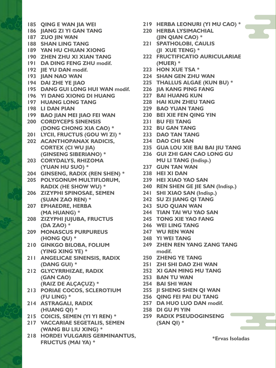- **185 QING E WAN JIA WEI**
- **186 JIANG ZI YI GAN TANG**
- **187 ZUO JIN WAN**
- **188 SHAN LING TANG**
- **189 YAN HU CHUAN XIONG**
- **190 ZHEN ZHU XI XIAN TANG**
- **191 DA DING FENG ZHU modif.**
- **192 JIE YU DAN modif.**
- **193 JIAN NAO WAN**
- **194 DAI ZHE YE JIAO**
- **195 DANG GUI LONG HUI WAN modif.**
- **196 YI DANG XIONG DI HUANG**
- **197 HUANG LONG TANG**
- **198 LI DAN PIAN**
- **199 BAO JIAN MEI JIAO FEI WAN**
- **200 CORDYCEPS SINENSIS (DONG CHONG XIA CAO) \***
- **201 LYCII, FRUCTUS (GOU WI ZI) \***
- **202 ACANTHOPANAX RADICIS, CORTEX (CI WU JIA) (GINSENG SIBERIANO) \***
- **203 CORYDALYS, RHIZOMA (YUAN HU SUO) \***
- **204 GINSENG, RADIX (REN SHEN) \***
- **205 POLYGONUM MULTIFLORUM, RADIX (HE SHOW WU) \***
- **206 ZIZYPHI SPINOSAE, SEMEN (SUAN ZAO REN) \***
- **207 EPHAEDRE, HERBA (MA HUANG) \***
- **208 ZIZYPHI JUJUBA, FRUCTUS (DA ZAO) \***
- **209 MONASCUS PURPUREUS (HONG QU) \***
- **210 GINKGO BILOBA, FOLIUM (YING XING YE) \***
- **211 ANGELICAE SINENSIS, RADIX (DANG GUI) \***
- **212 GLYCYRRHIZAE, RADIX (GAN CAO) (RAIZ DE ALÇAÇUZ) \***
- **213 PORIAE COCOS, SCLEROTIUM (FU LING) \***
- **214 ASTRAGALI, RADIX (HUANG QI) \***
- **215 COICIS, SEMEN (YI YI REN) \***
- **217 VACCARIAE SEGETALIS, SEMEN (WANG BU LIU XING) \***
- **218 HORDEI VULGARIS GERMINANTUS, FRUCTUS (MAI YA) \***
- **219 HERBA LEONURI (YI MU CAO) \***
- **220 HERBA LYSIMACHIAL (JIN QIAN CAO) \***
- **221 SPATHOLOBI, CAULIS (JI XUE TENG) \***
- **222 FRUCTIFICATIO AURICULARIAE (MUER) \***
- **223 HON XUE TSA \***
- **224 SHAN GEN ZHU WAN**
- **225 THALLUS ALGAE (KUN BU) \***
- **226 JIA KANG PING FANG**
- **227 BAI HUANG KUN**
- **228 HAI KUN ZHEU TANG**
- **229 BAO YUAN TANG**
- **230 BEI XIE FEN QING YIN**
- **231 BU FEI TANG**
- **232 BU GAN TANG**
- **233 DAO TAN TANG**
- **234 DAO CHI SAN**
- **235 GUA LOU XIE BAI BAI JIU TANG**
- **236 GUI ZHI GAN CAO LONG GU MU LI TANG (Indisp.)**
- **237 GUN TAN WAN**
- **238 HEI XI DAN**
- **239 HEI XIAO YAO SAN**
- **240 REN SHEN GE JIE SAN (Indisp.)**
- **241 SHI XIAO SAN (Indisp.)**
- **242 SU ZI JIANG QI TANG**
- **243 SUO QUAN WAN**
- **244 TIAN TAI WU YAO SAN**
- **245 TONG XIE YAO FANG**
- **246 WEI LING TANG**
- **247 WU REN WAN**
- **248 YI WEI TANG**
- **249 ZHEN REN YANG ZANG TANG modif.**
	- **250 ZHENG YE TANG**
	- **251 ZHI SHI DAO ZHI WAN**
- **252 XI GAN MING MU TANG**
- **253 BAN TU WAN**
- **254 BAI SHI WAN**
- **255 JI SHENG SHEN QI WAN**
- **256 QING FEI PAI DU TANG**
- **257 DA HUO LUO DAN modif.**
- **258 DI GU PI YIN**
- **259 RADIX PSEUDOGINSENG (SAN QI) \***

**\*Ervas Isoladas**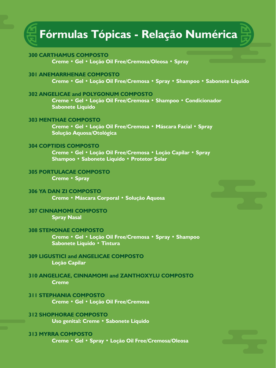### **Fórmulas Tópicas - Relação Numérica**

#### **300 CARTHAMUS COMPOSTO**

**Creme • Gel • Loção Oil Free/Cremosa/Oleosa • Spray**

#### **301 ANEMARRHENAE COMPOSTO**

**Creme • Gel • Loção Oil Free/Cremosa • Spray • Shampoo • Sabonete Líquido**

#### **302 ANGELICAE and POLYGONUM COMPOSTO**

**Creme • Gel • Loção Oil Free/Cremosa • Shampoo • Condicionador Sabonete Líquido**

#### **303 MENTHAE COMPOSTO**

**Creme • Gel • Loção Oil Free/Cremosa • Máscara Facial • Spray Solução Aquosa/Otológica**

#### **304 COPTIDIS COMPOSTO**

**Creme • Gel • Loção Oil Free/Cremosa • Loção Capilar • Spray Shampoo • Sabonete Líquido • Protetor Solar**

#### **305 PORTULACAE COMPOSTO Creme • Spray**

**306 YA DAN ZI COMPOSTO Creme • Máscara Corporal • Solução Aquosa**

#### **307 CINNAMOMI COMPOSTO Spray Nasal**

#### **308 STEMONAE COMPOSTO**

**Creme • Gel • Loção Oil Free/Cremosa • Spray • Shampoo Sabonete Líquido • Tintura**

#### **309 LIGUSTICI and ANGELICAE COMPOSTO Loção Capilar**

#### **310 ANGELICAE, CINNAMOMI and ZANTHOXYLU COMPOSTO Creme**

#### **311 STEPHANIA COMPOSTO Creme • Gel • Loção Oil Free/Cremosa**

**312 SHOPHORAE COMPOSTO Uso genital: Creme • Sabonete Líquido**

#### **313 MYRRA COMPOSTO**

**Creme • Gel • Spray • Loção Oil Free/Cremosa/Oleosa**



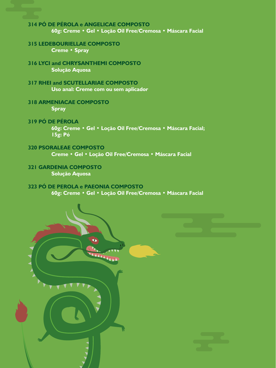#### **314 PÓ DE PÉROLA e ANGELICAE COMPOSTO 60g: Creme • Gel • Loção Oil Free/Cremosa • Máscara Facial**

#### **315 LEDEBOURIELLAE COMPOSTO Creme • Spray**

#### **316 LYCI and CHRYSANTHEMI COMPOSTO Solução Aquosa**

- **317 RHEI and SCUTELLARIAE COMPOSTO Uso anal: Creme com ou sem aplicador**
- **318 ARMENIACAE COMPOSTO Spray**
- **319 PÓ DE PÉROLA 60g: Creme • Gel • Loção Oil Free/Cremosa • Máscara Facial;**
	- **15g: Pó**
- **320 PSORALEAE COMPOSTO**

**Creme • Gel • Loção Oil Free/Cremosa • Máscara Facial**

**321 GARDENIA COMPOSTO Solução Aquosa**

#### **323 PÓ DE PEROLA e PAEONIA COMPOSTO**

**60g: Creme • Gel • Loção Oil Free/Cremosa • Máscara Facial**

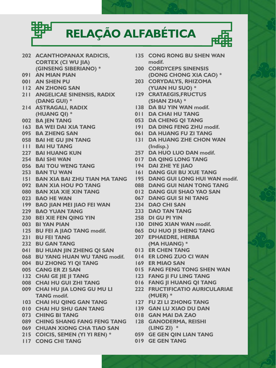# **RELAÇÃO ALFABÉTICA**

- **202 ACANTHOPANAX RADICIS, CORTEX (CI WU JIA) (GINSENG SIBERIANO) \***
- **091 AN MIAN PIAN**
- **001 AN SHEN PU**
- **112 AN ZHONG SAN**
- **211 ANGELICAE SINENSIS, RADIX (DANG GUI) \***
- **214 ASTRAGALI, RADIX (HUANG QI) \***
- **002 BA JEN TANG**
- **163 BA WEI DAI XIA TANG**
- **095 BA ZHENG SAN**
- **058 BAI HE GU JIN TANG**
- **111 BAI HU TANG**
- **227 BAI HUANG KUN**
- **254 BAI SHI WAN**
- **056 BAI TOU WENG TANG**
- **253 BAN TU WAN**
- **151 BAN XIA BAI ZHU TIAN MA TANG**
- **092 BAN XIA HOU PO TANG**
- **080 BAN XIA XIE XIN TANG**
- **023 BAO HE WAN**
- **199 BAO JIAN MEI JIAO FEI WAN**
- **229 BAO YUAN TANG**
- **230 BEI XIE FEN QING YIN**
- **003 BI YAN PIAN**
- **125 BU FEI A JIAO TANG modif.**
- **231 BU FEI TANG**
- **232 BU GAN TANG**
- **041 BU HUAN JIN ZHENG QI SAN**
- **068 BU YANG HUAN WU TANG modif.**
- **004 BU ZHONG YI QI TANG**
- **005 CANG ER ZI SAN**
- **132 CHAI GE JIE JI TANG**
- **008 CHAI HU GUI ZHI TANG**
- **009 CHAI HU JIA LONG GU MU LI TANG modif.**
- **103 CHAI HU QING GAN TANG**
- **010 CHAI HU SHU GAN TANG**
- **073 CHING BI TANG**
- **089 CHING SHANG FANG FENG TANG**
- **069 CHUAN XIONG CHA TIAO SAN**
- **215 COICIS, SEMEN (YI YI REN) \***
- **117 CONG CHI TANG**
- **135 CONG RONG BU SHEN WAN modif.**
- **200 CORDYCEPS SINENSIS (DONG CHONG XIA CAO) \***
- **203 CORYDALYS, RHIZOMA (YUAN HU SUO) \***
- **129 CRATAEGIS,FRUCTUS (SHAN ZHA) \***
- **138 DA BU YIN WAN modif.**
- **011 DA CHAI HU TANG**
- **053 DA CHENG QI TANG**
- **191 DA DING FENG ZHU modif.**
- **061 DA HUANG FU ZI TANG**
- **131 DA HUANG ZHE CHON WAN (Indisp.)**
- **257 DA HUO LUO DAN modif.**
- **017 DA QING LONG TANG**
- **194 DAI ZHE YE JIAO**
- **161 DANG GUI BU XUE TANG**
- **195 DANG GUI LONG HUI WAN modif.**
	- **088 DANG GUI NIAN TONG TANG**
	- **012 DANG GUI SHAO YAO SAN**
	- **067 DANG GUI SI NI TANG**
	- **234 DAO CHI SAN**
	- **233 DAO TAN TANG**
	- **258 DI GU PI YIN**
	- **130 DING XIAN WAN modif.**
	- **065 DU HUO JI SHENG TANG**
	- **207 EPHAEDRE, HERBA (MA HUANG) \***
	- **013 ER CHEN TANG**
	- **014 ER LONG ZUO CI WAN**
	- **169 ER MIAO SAN**
	- **015 FANG FENG TONG SHEN WAN**
	- **123 FANG JI FU LING TANG**
	- **016 FANG JI HUANG QI TANG**
	- **222 FRUCTIFICATIO AURICULARIAE (MUER) \***
	- **127 FU ZI LI ZHONG TANG**
	- **139 GAN LU XIAO DU DAN**
	- **018 GAN MAI DA ZAO**
	- **128 GANODERMA, REISHI (LING ZI) \***
	- **059 GE GEN QIN LIAN TANG**
	- **019 GE GEN TANG**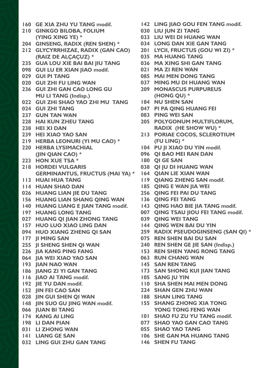- **160 GE XIA ZHU YU TANG modif. 210 GINKGO BILOBA, FOLIUM (YING XING YE) \* 204 GINSENG, RADIX (REN SHEN) \* 212 GLYCYRRHIZAE, RADIX (GAN CAO) (RAIZ DE ALÇAÇUZ) \* 235 GUA LOU XIE BAI BAI JIU TANG 098 GUI LU ER XIAN JIAO modif. 029 GUI PI TANG 020 GUI ZHI FU LING WAN 236 GUI ZHI GAN CAO LONG GU MU LI TANG (Indisp.) 022 GUI ZHI SHAO YAO ZHI MU TANG 024 GUI ZHI TANG 237 GUN TAN WAN 228 HAI KUN ZHEU TANG 238 HEI XI DAN 239 HEI XIAO YAO SAN 219 HERBA LEONURI (YI MU CAO) \* 220 HERBA LYSIMACHIAL (JIN QIAN CAO) \* 223 HON XUE TSA \* 218 HORDEI VULGARIS GERMINANTUS, FRUCTUS (MAI YA) \* 113 HUAI HUA TANG 114 HUAN SHAO DAN 026 HUANG LIAN JIE DU TANG 156 HUANG LIAN SHANG QING WAN 140 HUANG LIANG E JIAN TANG modif. 197 HUANG LONG TANG 027 HUANG QI JIAN ZHONG TANG 157 HUO LUO XIAO LING DAN 094 HUO XIANG ZHENG QI SAN 177 JI MING SAN 255 JI SHENG SHEN QI WAN 226 JIA KANG PING FANG 064 JIA WEI XIAO YAO SAN 193 JIAN NAO WAN 186 JIANG ZI YI GAN TANG 116 JIAO AI TANG modif. 192 JIE YU DAN modif. 152 JIN FEI CAO SAN 028 JIN GUI SHEN QI WAN 148 JIN SUO GU JING WAN modif. 066 JUAN BI TANG 174 KANG AI LING 198 LI DAN PIAN 031 LI ZHONG WAN 141 LIANG GE SAN 032 LING GUI ZHU GAN TANG**
- **142 LING JIAO GOU FEN TANG modif.**
	- **030 LIU JUN ZI TANG**
	- **033 LIU WEI DI HUANG WAN**
	- **034 LONG DAN XIE GAN TANG**
	- **201 LYCII, FRUCTUS (GOU WI ZI) \***
	- **035 MA HUANG TANG**
	- **036 MA XING SHI GAN TANG**
	- **021 MA ZI REN WAN**
	- **085 MAI MEN DONG TANG**
	- **037 MING MU DI HUANG WAN 209 MONASCUS PURPUREUS**
	- **(HONG QU) \***
	- **184 NU SHEN SAN**
	- **047 PI PA QING HUANG FEI**
	- **083 PING WEI SAN**
	- **205 POLYGONUM MULTIFLORUM, RADIX (HE SHOW WU) \***
	- **213 PORIAE COCOS, SCLEROTIUM (FU LING) \***
	- **104 PU JI XIAO DU YIN modif.**
	- **096 QI BAO MEI RAN DAN**
	- **180 QI GE SAN**
	- **038 QI JU DI HUANG WAN**
	- **164 QIAN LIE XIAN WAN**
	- **119 QIANG ZHENG SAN modif.**
	- **185 QING E WAN JIA WEI**
	- **256 QING FEI PAI DU TANG**
	- **136 QING FEI TANG**
	- **143 QING HAO BIE JIA TANG modif.**
	- **007 QING TSAU JIOU FEI TANG modif.**
	- **039 QING WEI TANG**
	- **144 QING WEN BAI DU YIN**
	- **259 RADIX PSEUDOGINSENG (SAN QI) \***
	- **075 REN SHEN BAI DU SAN**
	- **240 REN SHEN GE JIE SAN (Indisp.)**
	- **153 REN SHEN YANG RONG TANG**
	- **063 RUN CHANG WAN**
	- **145 SAN REN TANG**
	- **173 SAN SHONG KUI JIAN TANG**
	- **105 SANG JU YIN**
	- **110 SHA SHEN MAI MEN DONG**
	- **224 SHAN GEN ZHU WAN** 
		- **188 SHAN LING TANG**
		- **155 SHANG ZHONG XIA TONG YONG TONG FENG WAN**
		- **101 SHAO FU ZU YU TANG modif.**
		- **077 SHAO YAO GAN CAO TANG**
	- **055 SHAO YAO TANG**
	- **106 SHE GAN MA HUANG TANG**
	- **146 SHEN FU TANG**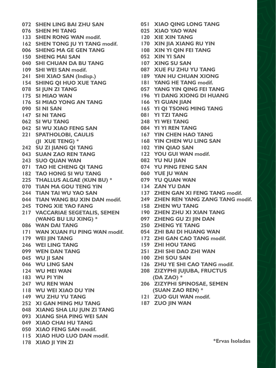**076 SHEN MI TANG 133 SHEN RONG WAN modif. 162 SHEN TONG JU YI TANG modif. 006 SHENG MA GE GEN TANG 150 SHENG MAI SAN 040 SHI CHUAN DA BU TANG 109 SHI WEI SAN modif. 241 SHI XIAO SAN (Indisp.) 154 SHING QI HUO XUE TANG 078 SI JUN ZI TANG 175 SI MIAO WAN 176 SI MIAO YONG AN TANG 090 SI NI SAN 147 SI NI TANG 062 SI WU TANG 042 SI WU XIAO FENG SAN 221 SPATHOLOBI, CAULIS (JI XUE TENG) \* 242 SU ZI JIANG QI TANG 043 SUAN ZAO REN TANG 243 SUO QUAN WAN 071 TAO HE CHENG QI TANG 182 TAO HONG SI WU TANG 225 THALLUS ALGAE (KUN BU) \* 070 TIAN MA GOU TENG YIN 244 TIAN TAI WU YAO SAN 044 TIAN WANG BU XIN DAN modif. 245 TONG XIE YAO FANG 217 VACCARIAE SEGETALIS, SEMEN (WANG BU LIU XING) \* 097 ZHENG GU ZI JIN DAN 086 WAN DAI TANG 171 WAN XUAN FU PING WAN modif. 179 WEI JIN TANG 246 WEI LING TANG 099 WEN DAN TANG 045 WU JI SAN 046 WU LING SAN 124 WU MEI WAN 183 WU PI YIN 247 WU REN WAN 118 WU WEI XIAO DU YIN 149 WU ZHU YU TANG 252 XI GAN MING MU TANG 048 XIANG SHA LIU JUN ZI TANG 093 XIANG SHA PING WEI SAN 049 XIAO CHAI HU TANG 050 XIAO FENG SAN modif. 115 XIAO HUO LUO DAN modif. 178 XIAO JI YIN ZI 249 ZHEN REN YANG TANG MODEL WAS ARRESTED FOR YANG ZANG TANG modif.** 

- **072 SHEN LING BAI ZHU SAN 051 XIAO QING LONG TANG**
	- **025 XIAO YAO WAN**
	- **120 XIE XIN TANG**
	- **170 XIN JIA XIANG RU YIN**
		- **108 XIN YI QIN FEI TANG**
		- **052 XIN YI SAN**
		- **107 XING SU SAN**
			- **087 XUE FU ZHU YU TANG**
		- **189 YAN HU CHUAN XIONG**
		- **181 YANG HE TANG modif.**
		- **057 YANG YIN QING FEI TANG**
		- **196 YI DANG XIONG DI HUANG**
		- **166 YI GUAN JIAN**
			- **165 YI QI TSONG MING TANG**
			- **081 YI TZI TANG**
			- **248 YI WEI TANG**
			- **084 YI YI REN TANG**
			- **167 YIN CHEN HAO TANG**
			- **168 YIN CHEN WU LING SAN**
			- **102 YIN QIAO SAN**
			- **122 YOU GUI WAN modif.**
			- **082 YU NU JIAN**
			- **074 YU PING FENG SAN**
			- **060 YUE JU WAN**
			- **079 YU QUAN WAN**
			- **134 ZAN YU DAN**
			- **137 ZHEN GAN XI FENG TANG modif.**
			-
			- **158 ZHEN WU TANG**
			- **190 ZHEN ZHU XI XIAN TANG**
			-
			- **250 ZHENG YE TANG**
			- **054 ZHI BAI DI HUANG WAN**
			- **172 ZHI GAN CAO TANG modif.**
			- **159 ZHI HOU TANG**
			- **251 ZHI SHI DAO ZHI WAN**
			- **100 ZHI SOU SAN**
			- **126 ZHU YE SHI CAO TANG modif.**
			- **208 ZIZYPHI JUJUBA, FRUCTUS (DA ZAO) \***
			- **206 ZIZYPHI SPINOSAE, SEMEN (SUAN ZAO REN) \***
	- **121 ZUO GUI WAN modif.**
		- **187 ZUO JIN WAN**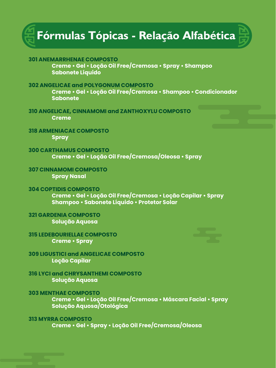

| <b>301 ANEMARRHENAE COMPOSTO</b>                                                                                                            |  |
|---------------------------------------------------------------------------------------------------------------------------------------------|--|
| Creme • Gel • Loção Oil Free/Cremosa • Spray • Shampoo<br><b>Sabonete Líquido</b>                                                           |  |
| <b>302 ANGELICAE and POLYGONUM COMPOSTO</b><br>Creme • Gel • Loção Oil Free/Cremosa • Shampoo • Condicionador<br><b>Sabonete</b>            |  |
| <b>310 ANGELICAE, CINNAMOMI and ZANTHOXYLU COMPOSTO</b><br><b>Creme</b>                                                                     |  |
| <b>318 ARMENIACAE COMPOSTO</b><br><b>Spray</b>                                                                                              |  |
| <b>300 CARTHAMUS COMPOSTO</b><br>Creme • Gel • Loção Oil Free/Cremosa/Oleosa • Spray                                                        |  |
| <b>307 CINNAMOMI COMPOSTO</b><br><b>Spray Nasal</b>                                                                                         |  |
| <b>304 COPTIDIS COMPOSTO</b><br>Creme • Gel • Loção Oil Free/Cremosa • Loção Capilar • Spray<br>Shampoo · Sabonete Líquido · Protetor Solar |  |
| <b>321 GARDENIA COMPOSTO</b><br>Solução Aquosa                                                                                              |  |
| <b>315 LEDEBOURIELLAE COMPOSTO</b><br><b>Creme • Spray</b>                                                                                  |  |
| <b>309 LIGUSTICI and ANGELICAE COMPOSTO</b><br>Loção Capilar                                                                                |  |

**316 LYCI and CHRYSANTHEMI COMPOSTO Solução Aquosa**

#### **303 MENTHAE COMPOSTO**

**Creme • Gel • Loção Oil Free/Cremosa • Máscara Facial • Spray Solução Aquosa/Otológica**

#### **313 MYRRA COMPOSTO**

**Creme • Gel • Spray • Loção Oil Free/Cremosa/Oleosa**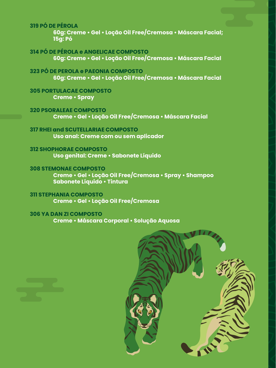**319 PÓ DE PÉROLA**

**60g: Creme • Gel • Loção Oil Free/Cremosa • Máscara Facial; 15g: Pó**

**314 PÓ DE PÉROLA e ANGELICAE COMPOSTO 60g: Creme • Gel • Loção Oil Free/Cremosa • Máscara Facial**

**323 PÓ DE PEROLA e PAEONIA COMPOSTO 60g: Creme • Gel • Loção Oil Free/Cremosa • Máscara Facial**

**305 PORTULACAE COMPOSTO Creme • Spray**

**320 PSORALEAE COMPOSTO Creme • Gel • Loção Oil Free/Cremosa • Máscara Facial**

**317 RHEI and SCUTELLARIAE COMPOSTO Uso anal: Creme com ou sem aplicador**

**312 SHOPHORAE COMPOSTO Uso genital: Creme • Sabonete Líquido**

**308 STEMONAE COMPOSTO Creme • Gel • Loção Oil Free/Cremosa • Spray • Shampoo Sabonete Líquido • Tintura**

**311 STEPHANIA COMPOSTO Creme • Gel • Loção Oil Free/Cremosa**

**306 YA DAN ZI COMPOSTO Creme • Máscara Corporal • Solução Aquosa**